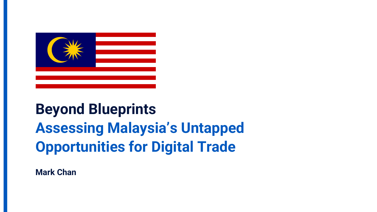

# **Beyond Blueprints Assessing Malaysia's Untapped Opportunities for Digital Trade**

**Mark Chan**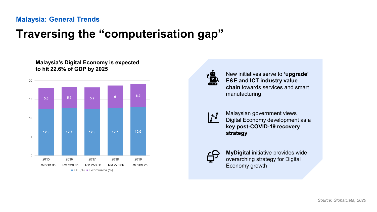## **Traversing the "computerisation gap"**



New initiatives serve to **'upgrade' E&E and ICT industry value chain** towards services and smart manufacturing



Malaysian government views Digital Economy development as a **key post-COVID-19 recovery strategy**



**MyDigital** initiative provides wide overarching strategy for Digital Economy growth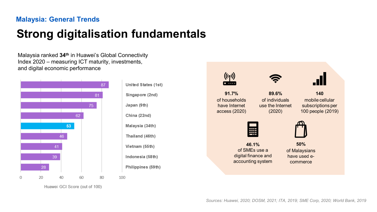and digital economic performance

## **Strong digitalisation fundamentals**

Malaysia ranked **34th** in Huawei's Global Connectivity Index 2020 – measuring ICT maturity, investments,

> **59. Philippines 58. Indonesia 55. Vietnam Thailand** (46th) Malaysia (34th) **China** (22nd) Japan (9th) Singapore (2nd) **United States (1st)**



*Sources: Huawei, 2020; DOSM, 2021; ITA, 2019; SME Corp, 2020; World Bank, 2019*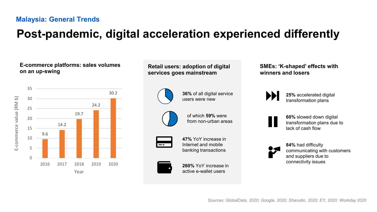## **Post-pandemic, digital acceleration experienced differently**

#### **E-commerce platforms: sales volumes on an up-swing**



#### **Retail users: adoption of digital services goes mainstream**



**36%** of all digital service users were new



of which **59%** were from non-urban areas



**47%** YoY increase in Internet and mobile banking transactions



**260%** YoY increase in active e-wallet users

#### **SMEs: 'K-shaped' effects with winners and losers**



**25%** accelerated digital transformation plans



**60%** slowed down digital transformation plans due to lack of cash flow



**84%** had difficulty communicating with customers and suppliers due to connectivity issues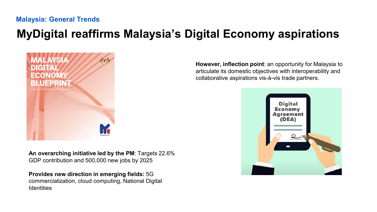## **MyDigital reaffirms Malaysia's Digital Economy aspirations**



**An overarching initiative led by the PM**: Targets 22.6% GDP contribution and 500,000 new jobs by 2025

**Provides new direction in emerging fields:** 5G commercialization, cloud computing, National Digital **Identities** 

**However, inflection point**: an opportunity for Malaysia to articulate its domestic objectives with interoperability and collaborative aspirations vis-à-vis trade partners.

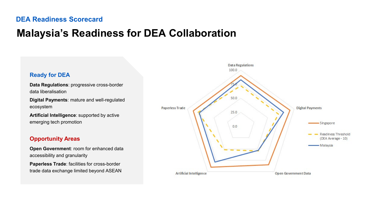## **Malaysia's Readiness for DEA Collaboration**

#### 100.0 **Ready for DEA Data Regulations**: progressive cross-border data liberalisation  $500$ **Digital Payments**: mature and well-regulated ecosystem Paperless Trade  $25.0$ **Artificial Intelligence**: supported by active emerging tech promotion  $0.0$ **Opportunity Areas Open Government**: room for enhanced data accessibility and granularity **Paperless Trade**: facilities for cross-border trade data exchange limited beyond ASEAN

Artificial Intelligence

**Data Regulations** 

**Digital Payments** 

Open Government Data

Singapore

- Malaysia

Readiness Threshold (DEA Average - 10)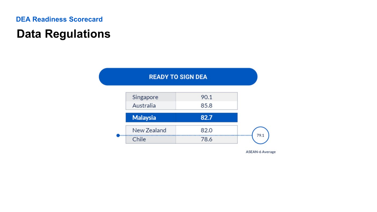## **Data Regulations**



**ASEAN-6 Average**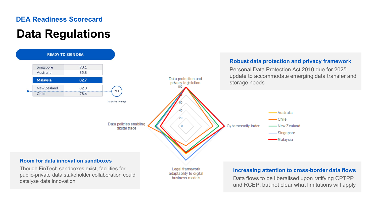## **Data Regulations**

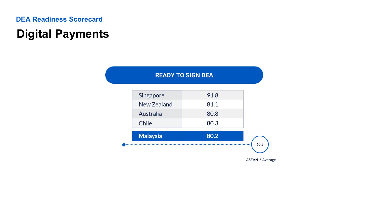## **Digital Payments**

| <b>READY TO SIGN DEA</b> |  |  |
|--------------------------|--|--|
|                          |  |  |

|                 |      | <b>ASEAN-6 Average</b> |
|-----------------|------|------------------------|
| <b>Malaysia</b> | 80.2 | 60.2                   |
| Chile           | 80.3 |                        |
| Australia       | 80.8 |                        |
| New Zealand     | 81.1 |                        |
| Singapore       | 91.8 |                        |
|                 |      |                        |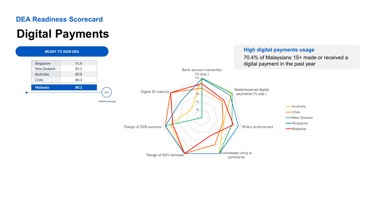## **Digital Payments**

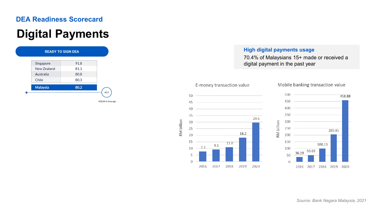## **Digital Payments**



#### **High digital payments usage**

70.4% of Malaysians 15+ made or received a digital payment in the past year





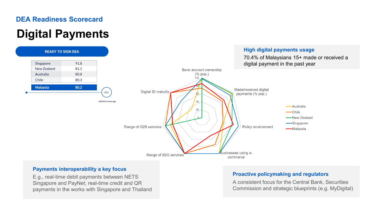## **Digital Payments**



#### **Payments interoperability a key focus**

E.g., real-time debit payments between NETS Singapore and PayNet; real-time credit and QR payments in the works with Singapore and Thailand

#### **Proactive policymaking and regulators**

A consistent focus for the Central Bank, Securities Commission and strategic blueprints (e.g. MyDigital)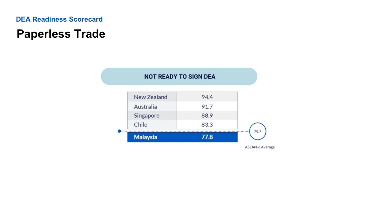## **Paperless Trade**

#### **NOT READY TO SIGN DEA** New Zealand 94.4 91.7 Australia Singapore 88.9 Chile 83.3 78.7 **Malaysia** 77.8

**ASEAN-6 Average**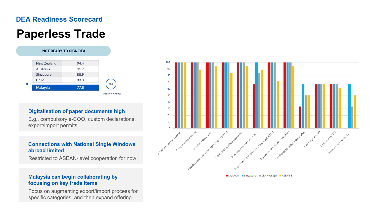## **Paperless Trade**



#### **Digitalisation of paper documents high**

E.g., compulsory e-COO, custom declarations, export/import permits

#### **Connections with National Single Windows abroad limited**

Restricted to ASEAN-level cooperation for now

#### **Malaysia can begin collaborating by focusing on key trade items**

Focus on augmenting export/import process for specific categories, and then expand offering



Malaysia Singapore DEA Average ASEAN-6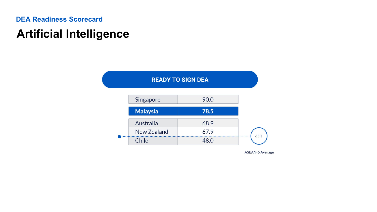## **Artificial Intelligence**



**ASEAN-6 Average**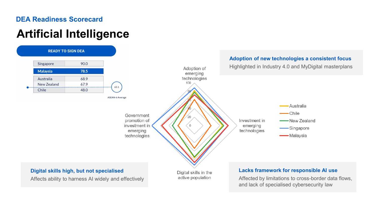## **Artificial Intelligence**

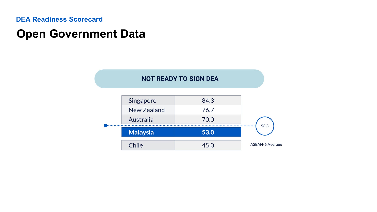## **Open Government Data**

### **NOT READY TO SIGN DEA**

|  | Australia<br><b>Malaysia</b><br>Chile | 70.0<br>53.0<br>45.0 | 58.3<br><b>ASEAN-6 Average</b> |
|--|---------------------------------------|----------------------|--------------------------------|
|  |                                       |                      |                                |
|  | Singapore<br>New Zealand              | 84.3<br>76.7         |                                |
|  |                                       |                      |                                |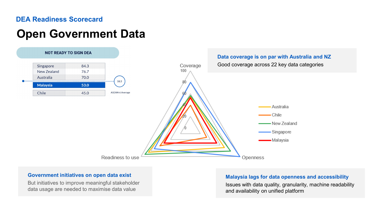## **Open Government Data**



#### **Government initiatives on open data exist**

But initiatives to improve meaningful stakeholder data usage are needed to maximise data value

#### **Malaysia lags for data openness and accessibility**

Issues with data quality, granularity, machine readability and availability on unified platform